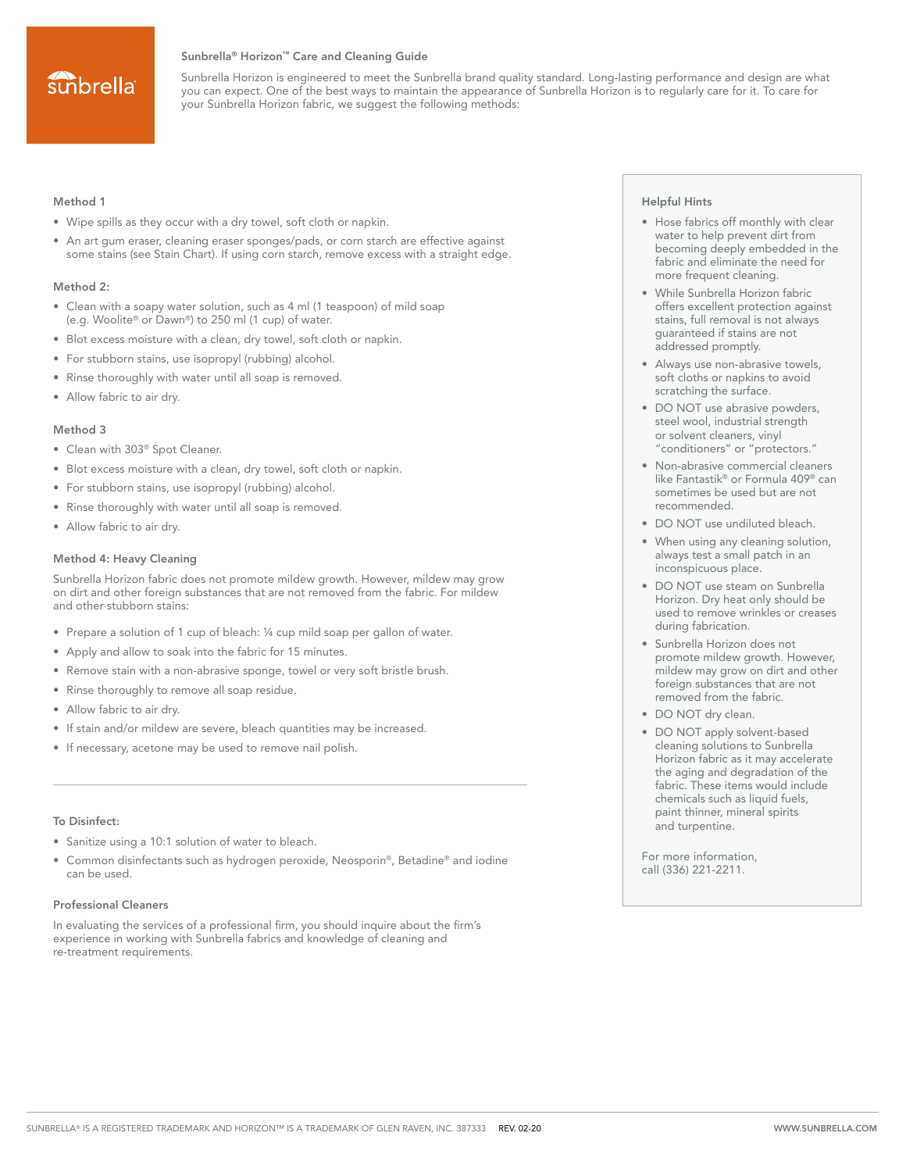## sunbrella

#### Sunbrella® Horizon™ Care and Cleaning Guide

Sunbrella Horizon is engineered to meet the Sunbrella brand quality standard. Long-lasting performance and design are what you can expect. One of the best ways to maintain the appearance of Sunbrella Horizon is to regularly care for it. To care for your Sunbrella Horizon fabric, we suggest the following methods:

#### Method 1

- Wipe spills as they occur with a dry towel, soft cloth or napkin.
- An art gum eraser, cleaning eraser sponges/pads, or corn starch are effective against some stains (see Stain Chart). If using corn starch, remove excess with a straight edge.

#### Method 2:

- Clean with a soapy water solution, such as 4 ml (1 teaspoon) of mild soap (e.g. Woolite® or Dawn®) to 250 ml (1 cup) of water.
- Blot excess moisture with a clean, dry towel, soft cloth or napkin.
- For stubborn stains, use isopropyl (rubbing) alcohol.
- Rinse thoroughly with water until all soap is removed.
- Allow fabric to air dry.

#### Method 3

- Clean with 303® Spot Cleaner.
- Blot excess moisture with a clean, dry towel, soft cloth or napkin.
- For stubborn stains, use isopropyl (rubbing) alcohol.
- Rinse thoroughly with water until all soap is removed.
- Allow fabric to air dry.

#### Method 4: Heavy Cleaning

Sunbrella Horizon fabric does not promote mildew growth. However, mildew may grow on dirt and other foreign substances that are not removed from the fabric. For mildew and other stubborn stains:

- Prepare a solution of 1 cup of bleach: ¼ cup mild soap per gallon of water.
- Apply and allow to soak into the fabric for 15 minutes.
- Remove stain with a non-abrasive sponge, towel or very soft bristle brush.
- Rinse thoroughly to remove all soap residue.
- Allow fabric to air dry.
- If stain and/or mildew are severe, bleach quantities may be increased.
- If necessary, acetone may be used to remove nail polish.

#### To Disinfect:

- Sanitize using a 10:1 solution of water to bleach.
- Common disinfectants such as hydrogen peroxide, Neosporin®, Betadine® and iodine can be used.

#### Professional Cleaners

In evaluating the services of a professional firm, you should inquire about the firm's experience in working with Sunbrella fabrics and knowledge of cleaning and re-treatment requirements.

#### Helpful Hints

- Hose fabrics off monthly with clear water to help prevent dirt from becoming deeply embedded in the fabric and eliminate the need for more frequent cleaning.
- While Sunbrella Horizon fabric offers excellent protection against stains, full removal is not always guaranteed if stains are not addressed promptly.
- Always use non-abrasive towels, soft cloths or napkins to avoid scratching the surface.
- DO NOT use abrasive powders, steel wool, industrial strength or solvent cleaners, vinyl "conditioners" or "protectors."
- Non-abrasive commercial cleaners like Fantastik® or Formula 409® can sometimes be used but are not recommended.
- DO NOT use undiluted bleach.
- When using any cleaning solution, always test a small patch in an inconspicuous place.
- DO NOT use steam on Sunbrella Horizon. Dry heat only should be used to remove wrinkles or creases during fabrication.
- Sunbrella Horizon does not promote mildew growth. However, mildew may grow on dirt and other foreign substances that are not removed from the fabric.
- DO NOT dry clean.
- DO NOT apply solvent-based cleaning solutions to Sunbrella Horizon fabric as it may accelerate the aging and degradation of the fabric. These items would include chemicals such as liquid fuels, paint thinner, mineral spirits and turpentine.

For more information, call (336) 221-2211.